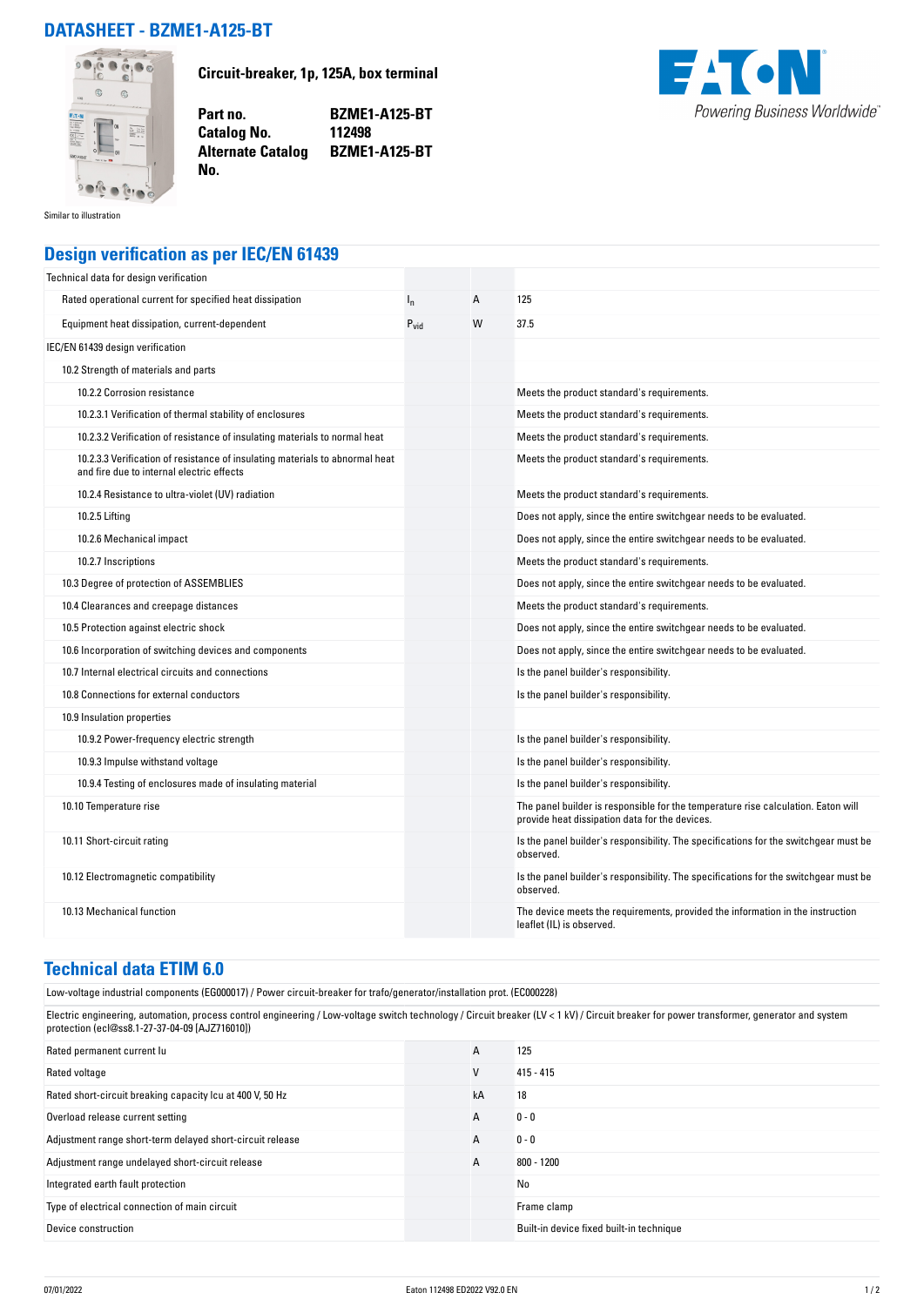## **DATASHEET - BZME1-A125-BT**



**Circuit-breaker, 1p, 125A, box terminal**

**Part no. BZME1-A125-BT Alternate Catalog BZME1-A125-BT**



Similar to illustration

## **Design verification as per IEC/EN 61439**

**Catalog No.** 

**No.** 

| Technical data for design verification                                                                                    |                  |   |                                                                                                                                     |
|---------------------------------------------------------------------------------------------------------------------------|------------------|---|-------------------------------------------------------------------------------------------------------------------------------------|
| Rated operational current for specified heat dissipation                                                                  | $I_{n}$          | A | 125                                                                                                                                 |
| Equipment heat dissipation, current-dependent                                                                             | $P_{\text{vid}}$ | W | 37.5                                                                                                                                |
| IEC/EN 61439 design verification                                                                                          |                  |   |                                                                                                                                     |
| 10.2 Strength of materials and parts                                                                                      |                  |   |                                                                                                                                     |
| 10.2.2 Corrosion resistance                                                                                               |                  |   | Meets the product standard's requirements.                                                                                          |
| 10.2.3.1 Verification of thermal stability of enclosures                                                                  |                  |   | Meets the product standard's requirements.                                                                                          |
| 10.2.3.2 Verification of resistance of insulating materials to normal heat                                                |                  |   | Meets the product standard's requirements.                                                                                          |
| 10.2.3.3 Verification of resistance of insulating materials to abnormal heat<br>and fire due to internal electric effects |                  |   | Meets the product standard's requirements.                                                                                          |
| 10.2.4 Resistance to ultra-violet (UV) radiation                                                                          |                  |   | Meets the product standard's requirements.                                                                                          |
| 10.2.5 Lifting                                                                                                            |                  |   | Does not apply, since the entire switchgear needs to be evaluated.                                                                  |
| 10.2.6 Mechanical impact                                                                                                  |                  |   | Does not apply, since the entire switchgear needs to be evaluated.                                                                  |
| 10.2.7 Inscriptions                                                                                                       |                  |   | Meets the product standard's requirements.                                                                                          |
| 10.3 Degree of protection of ASSEMBLIES                                                                                   |                  |   | Does not apply, since the entire switchgear needs to be evaluated.                                                                  |
| 10.4 Clearances and creepage distances                                                                                    |                  |   | Meets the product standard's requirements.                                                                                          |
| 10.5 Protection against electric shock                                                                                    |                  |   | Does not apply, since the entire switchgear needs to be evaluated.                                                                  |
| 10.6 Incorporation of switching devices and components                                                                    |                  |   | Does not apply, since the entire switchgear needs to be evaluated.                                                                  |
| 10.7 Internal electrical circuits and connections                                                                         |                  |   | Is the panel builder's responsibility.                                                                                              |
| 10.8 Connections for external conductors                                                                                  |                  |   | Is the panel builder's responsibility.                                                                                              |
| 10.9 Insulation properties                                                                                                |                  |   |                                                                                                                                     |
| 10.9.2 Power-frequency electric strength                                                                                  |                  |   | Is the panel builder's responsibility.                                                                                              |
| 10.9.3 Impulse withstand voltage                                                                                          |                  |   | Is the panel builder's responsibility.                                                                                              |
| 10.9.4 Testing of enclosures made of insulating material                                                                  |                  |   | Is the panel builder's responsibility.                                                                                              |
| 10.10 Temperature rise                                                                                                    |                  |   | The panel builder is responsible for the temperature rise calculation. Eaton will<br>provide heat dissipation data for the devices. |
| 10.11 Short-circuit rating                                                                                                |                  |   | Is the panel builder's responsibility. The specifications for the switchgear must be<br>observed.                                   |
| 10.12 Electromagnetic compatibility                                                                                       |                  |   | Is the panel builder's responsibility. The specifications for the switchgear must be<br>observed.                                   |
| 10.13 Mechanical function                                                                                                 |                  |   | The device meets the requirements, provided the information in the instruction<br>leaflet (IL) is observed.                         |

## **Technical data ETIM 6.0**

Low-voltage industrial components (EG000017) / Power circuit-breaker for trafo/generator/installation prot. (EC000228)

Electric engineering, automation, process control engineering / Low-voltage switch technology / Circuit breaker (LV < 1 kV) / Circuit breaker for power transformer, generator and system protection (ecl@ss8.1-27-37-04-09 [AJZ716010])

| Rated permanent current lu                                | A  | 125                                      |
|-----------------------------------------------------------|----|------------------------------------------|
| Rated voltage                                             | V  | $415 - 415$                              |
| Rated short-circuit breaking capacity Icu at 400 V, 50 Hz | kA | 18                                       |
| Overload release current setting                          | A  | $0 - 0$                                  |
| Adjustment range short-term delayed short-circuit release | A  | $0 - 0$                                  |
| Adjustment range undelayed short-circuit release          | A  | $800 - 1200$                             |
| Integrated earth fault protection                         |    | No                                       |
| Type of electrical connection of main circuit             |    | Frame clamp                              |
| Device construction                                       |    | Built-in device fixed built-in technique |